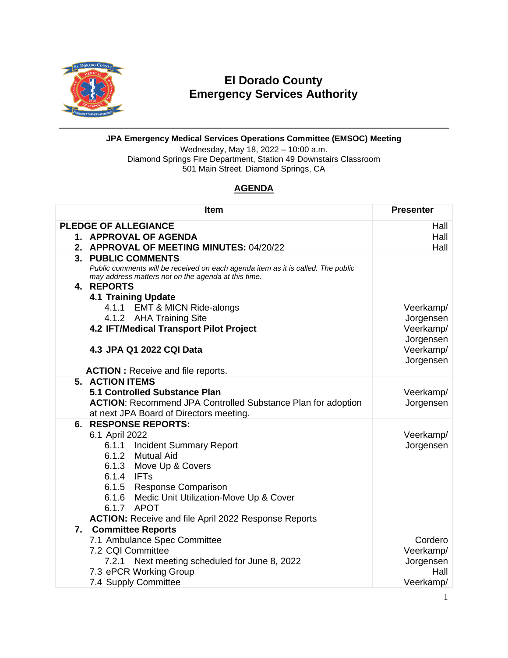

## **El Dorado County Emergency Services Authority**

## **JPA Emergency Medical Services Operations Committee (EMSOC) Meeting**

Wednesday, May 18, 2022 – 10:00 a.m. Diamond Springs Fire Department, Station 49 Downstairs Classroom 501 Main Street. Diamond Springs, CA

## **AGENDA**

|                                     | <b>Item</b>                                                                      | <b>Presenter</b>       |  |
|-------------------------------------|----------------------------------------------------------------------------------|------------------------|--|
| <b>PLEDGE OF ALLEGIANCE</b><br>Hall |                                                                                  |                        |  |
|                                     | 1. APPROVAL OF AGENDA                                                            | Hall                   |  |
|                                     | 2. APPROVAL OF MEETING MINUTES: 04/20/22                                         | Hall                   |  |
|                                     | 3. PUBLIC COMMENTS                                                               |                        |  |
|                                     | Public comments will be received on each agenda item as it is called. The public |                        |  |
|                                     | may address matters not on the agenda at this time.                              |                        |  |
|                                     | 4. REPORTS                                                                       |                        |  |
|                                     | <b>4.1 Training Update</b>                                                       |                        |  |
|                                     | 4.1.1 EMT & MICN Ride-alongs<br>4.1.2 AHA Training Site                          | Veerkamp/              |  |
|                                     | 4.2 IFT/Medical Transport Pilot Project                                          | Jorgensen<br>Veerkamp/ |  |
|                                     |                                                                                  | Jorgensen              |  |
|                                     | 4.3 JPA Q1 2022 CQI Data                                                         | Veerkamp/              |  |
|                                     |                                                                                  | Jorgensen              |  |
|                                     | <b>ACTION</b> : Receive and file reports.                                        |                        |  |
|                                     | <b>5. ACTION ITEMS</b>                                                           |                        |  |
|                                     | 5.1 Controlled Substance Plan                                                    | Veerkamp/              |  |
|                                     | <b>ACTION:</b> Recommend JPA Controlled Substance Plan for adoption              | Jorgensen              |  |
|                                     | at next JPA Board of Directors meeting.                                          |                        |  |
|                                     | <b>6. RESPONSE REPORTS:</b>                                                      |                        |  |
|                                     | 6.1 April 2022                                                                   | Veerkamp/              |  |
|                                     | 6.1.1 Incident Summary Report                                                    | Jorgensen              |  |
|                                     | 6.1.2 Mutual Aid                                                                 |                        |  |
|                                     | 6.1.3 Move Up & Covers                                                           |                        |  |
|                                     | 6.1.4 IFTs                                                                       |                        |  |
|                                     | 6.1.5 Response Comparison<br>6.1.6 Medic Unit Utilization-Move Up & Cover        |                        |  |
|                                     | 6.1.7 APOT                                                                       |                        |  |
|                                     | <b>ACTION:</b> Receive and file April 2022 Response Reports                      |                        |  |
|                                     | 7. Committee Reports                                                             |                        |  |
|                                     | 7.1 Ambulance Spec Committee                                                     | Cordero                |  |
|                                     | 7.2 CQI Committee                                                                | Veerkamp/              |  |
|                                     | 7.2.1 Next meeting scheduled for June 8, 2022                                    | Jorgensen              |  |
|                                     | 7.3 ePCR Working Group                                                           | Hall                   |  |
|                                     | 7.4 Supply Committee                                                             | Veerkamp/              |  |